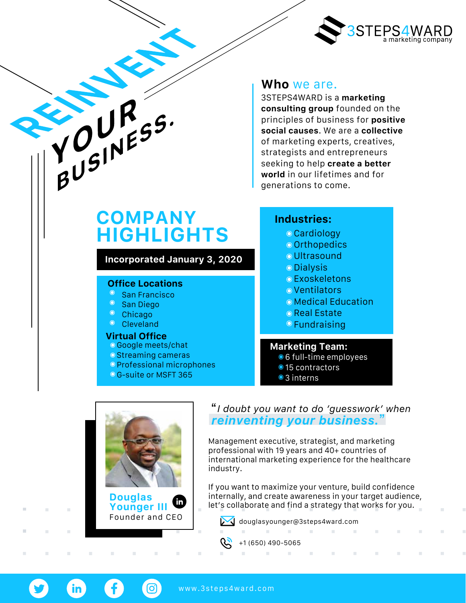

# **COMPANY HIGHLIGHTS**

**Incorporated January 3, 2020**

### **Office Locations**

- **San Francisco**
- San Diego
- Chicago

YOURS.

Cleveland

#### **Virtual Office**

- Google meets/chat
- **Streaming cameras**
- Professional microphones
- G-suite or MSFT 365

## **Who** we are.

3STEPS4WARD is a **marketing consulting group** founded on the principles of business for **positive social causes**. We are a **collective** of marketing experts, creatives, strategists and entrepreneurs seeking to help **create a better world** in our lifetimes and for generations to come.

### **Industries:**

- Cardiology
- o Orthopedics
- Ultrasound
- Dialysis
- Exoskeletons
- Ventilators
- Medical Education
- **O** Real Estate
- Fundraising

### **Marketing Team:**

- $\bullet$  6 full-time employees
- 15 contractors
- 3 interns



**Douglas**  $\mathbf{in}$ **Younger III**

[ဝ]

 $\mathcal{C}^{\mathcal{C}}$ 

### "*I doubt you want to do 'guesswork' when reinventing your business.*"

Management executive, strategist, and marketing professional with 19 years and 40+ countries of international marketing experience for the healthcare industry.

If you want to maximize your venture, build confidence internally, and create awareness in your target audience, let's collaborate and find a strategy that works for you.

 $\sim$ 

 $\mathcal{H}^{\mathcal{A}}$ 

 $\sim$ 

 $\alpha$ 

 $\mathbb{R}^n$ 

 $\sim$ 

**Contract Contract** 

Founder and CEO **[douglasyounger@3steps4ward.com](mailto:douglasyounger@3steps4ward.com)**  $\sim$ 

 $\sim 10^{-11}$ 



<www.3steps4ward.com>